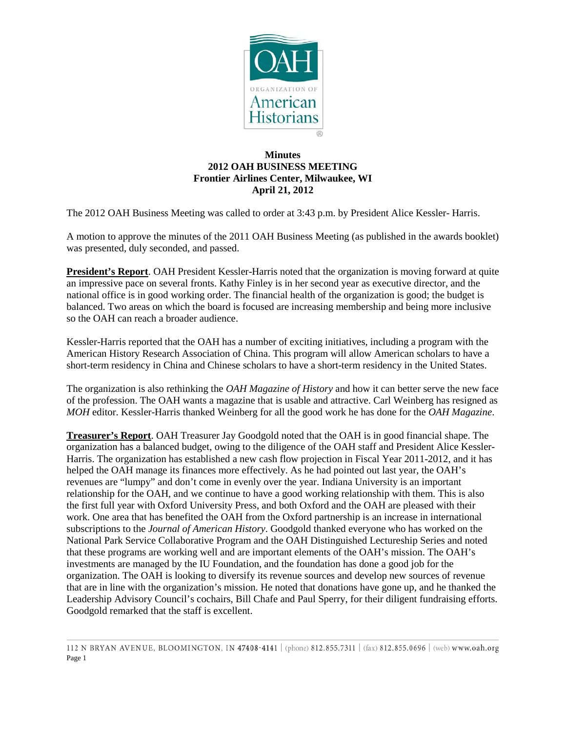

## **Minutes 2012 OAH BUSINESS MEETING Frontier Airlines Center, Milwaukee, WI April 21, 2012**

The 2012 OAH Business Meeting was called to order at 3:43 p.m. by President Alice Kessler- Harris.

A motion to approve the minutes of the 2011 OAH Business Meeting (as published in the awards booklet) was presented, duly seconded, and passed.

**President's Report**. OAH President Kessler-Harris noted that the organization is moving forward at quite an impressive pace on several fronts. Kathy Finley is in her second year as executive director, and the national office is in good working order. The financial health of the organization is good; the budget is balanced. Two areas on which the board is focused are increasing membership and being more inclusive so the OAH can reach a broader audience.

Kessler-Harris reported that the OAH has a number of exciting initiatives, including a program with the American History Research Association of China. This program will allow American scholars to have a short-term residency in China and Chinese scholars to have a short-term residency in the United States.

The organization is also rethinking the *OAH Magazine of History* and how it can better serve the new face of the profession. The OAH wants a magazine that is usable and attractive. Carl Weinberg has resigned as *MOH* editor. Kessler-Harris thanked Weinberg for all the good work he has done for the *OAH Magazine*.

**Treasurer's Report**. OAH Treasurer Jay Goodgold noted that the OAH is in good financial shape. The organization has a balanced budget, owing to the diligence of the OAH staff and President Alice Kessler-Harris. The organization has established a new cash flow projection in Fiscal Year 2011-2012, and it has helped the OAH manage its finances more effectively. As he had pointed out last year, the OAH's revenues are "lumpy" and don't come in evenly over the year. Indiana University is an important relationship for the OAH, and we continue to have a good working relationship with them. This is also the first full year with Oxford University Press, and both Oxford and the OAH are pleased with their work. One area that has benefited the OAH from the Oxford partnership is an increase in international subscriptions to the *Journal of American History*. Goodgold thanked everyone who has worked on the National Park Service Collaborative Program and the OAH Distinguished Lectureship Series and noted that these programs are working well and are important elements of the OAH's mission. The OAH's investments are managed by the IU Foundation, and the foundation has done a good job for the organization. The OAH is looking to diversify its revenue sources and develop new sources of revenue that are in line with the organization's mission. He noted that donations have gone up, and he thanked the Leadership Advisory Council's cochairs, Bill Chafe and Paul Sperry, for their diligent fundraising efforts. Goodgold remarked that the staff is excellent.

<sup>112</sup> N BRYAN AVENUE, BLOOMINGTON, IN 47408-4141 (phone) 812.855.7311 (fax) 812.855.0696 (web) www.oah.org Page 1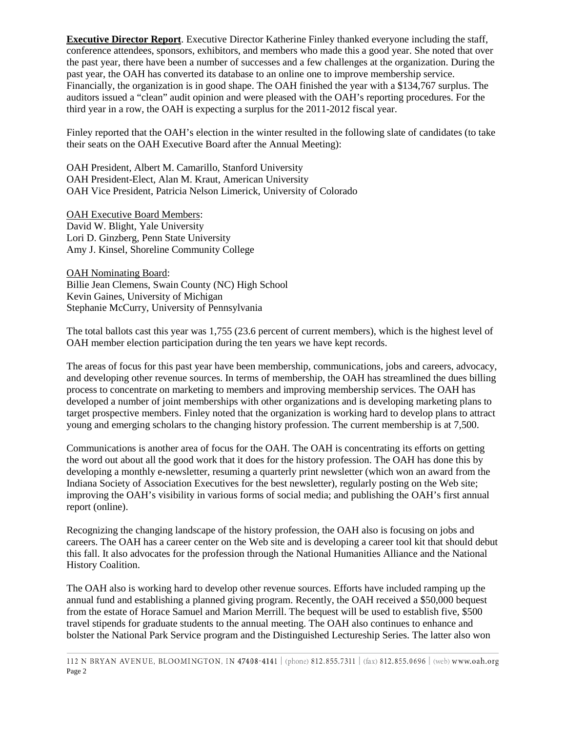**Executive Director Report**. Executive Director Katherine Finley thanked everyone including the staff, conference attendees, sponsors, exhibitors, and members who made this a good year. She noted that over the past year, there have been a number of successes and a few challenges at the organization. During the past year, the OAH has converted its database to an online one to improve membership service. Financially, the organization is in good shape. The OAH finished the year with a \$134,767 surplus. The auditors issued a "clean" audit opinion and were pleased with the OAH's reporting procedures. For the third year in a row, the OAH is expecting a surplus for the 2011-2012 fiscal year.

Finley reported that the OAH's election in the winter resulted in the following slate of candidates (to take their seats on the OAH Executive Board after the Annual Meeting):

OAH President, Albert M. Camarillo, Stanford University OAH President-Elect, Alan M. Kraut, American University OAH Vice President, Patricia Nelson Limerick, University of Colorado

OAH Executive Board Members: David W. Blight, Yale University Lori D. Ginzberg, Penn State University Amy J. Kinsel, Shoreline Community College

OAH Nominating Board: Billie Jean Clemens, Swain County (NC) High School Kevin Gaines, University of Michigan Stephanie McCurry, University of Pennsylvania

The total ballots cast this year was 1,755 (23.6 percent of current members), which is the highest level of OAH member election participation during the ten years we have kept records.

The areas of focus for this past year have been membership, communications, jobs and careers, advocacy, and developing other revenue sources. In terms of membership, the OAH has streamlined the dues billing process to concentrate on marketing to members and improving membership services. The OAH has developed a number of joint memberships with other organizations and is developing marketing plans to target prospective members. Finley noted that the organization is working hard to develop plans to attract young and emerging scholars to the changing history profession. The current membership is at 7,500.

Communications is another area of focus for the OAH. The OAH is concentrating its efforts on getting the word out about all the good work that it does for the history profession. The OAH has done this by developing a monthly e-newsletter, resuming a quarterly print newsletter (which won an award from the Indiana Society of Association Executives for the best newsletter), regularly posting on the Web site; improving the OAH's visibility in various forms of social media; and publishing the OAH's first annual report (online).

Recognizing the changing landscape of the history profession, the OAH also is focusing on jobs and careers. The OAH has a career center on the Web site and is developing a career tool kit that should debut this fall. It also advocates for the profession through the National Humanities Alliance and the National History Coalition.

The OAH also is working hard to develop other revenue sources. Efforts have included ramping up the annual fund and establishing a planned giving program. Recently, the OAH received a \$50,000 bequest from the estate of Horace Samuel and Marion Merrill. The bequest will be used to establish five, \$500 travel stipends for graduate students to the annual meeting. The OAH also continues to enhance and bolster the National Park Service program and the Distinguished Lectureship Series. The latter also won

112 N BRYAN AVENUE, BLOOMINGTON, IN 47408-4141 | (phone) 812.855.7311 | (fax) 812.855.0696 | (web) www.oah.org Page 2